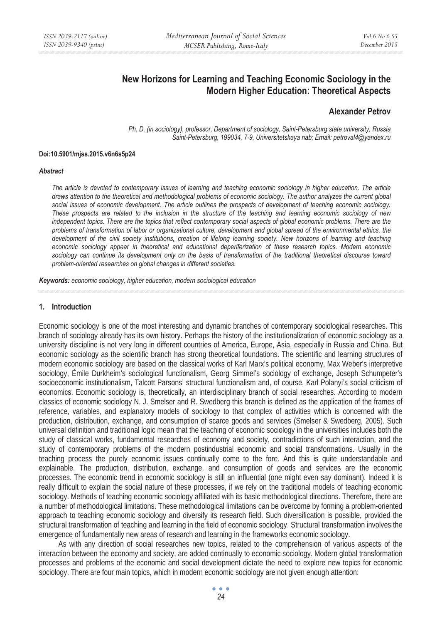# **New Horizons for Learning and Teaching Economic Sociology in the Modern Higher Education: Theoretical Aspects**

## **Alexander Petrov**

*Ph. D. (in sociology), professor, Department of sociology, Saint-Petersburg state university, Russia Saint-Petersburg, 199034, 7-9, Universitetskaya nab; Email: petroval4@yandex.ru* 

#### **Doi:10.5901/mjss.2015.v6n6s5p24**

#### *Abstract*

*The article is devoted to contemporary issues of learning and teaching economic sociology in higher education. The article draws attention to the theoretical and methodological problems of economic sociology. The author analyzes the current global social issues of economic development. The article outlines the prospects of development of teaching economic sociology. These prospects are related to the inclusion in the structure of the teaching and learning economic sociology of new independent topics. There are the topics that reflect contemporary social aspects of global economic problems. There are the problems of transformation of labor or organizational culture, development and global spread of the environmental ethics, the*  development of the civil society institutions, creation of lifelong learning society. New horizons of learning and teaching *economic sociology appear in theoretical and educational deperiferization of these research topics. Modern economic*  sociology can continue its development only on the basis of transformation of the traditional theoretical discourse toward *problem-oriented researches on global changes in different societies.* 

*Keywords: economic sociology, higher education, modern sociological education* 

#### **1. Introduction**

Economic sociology is one of the most interesting and dynamic branches of contemporary sociological researches. This branch of sociology already has its own history. Perhaps the history of the institutionalization of economic sociology as a university discipline is not very long in different countries of America, Europe, Asia, especially in Russia and China. But economic sociology as the scientific branch has strong theoretical foundations. The scientific and learning structures of modern economic sociology are based on the classical works of Karl Marx's political economy, Max Weber's interpretive sociology, Émile Durkheim's sociological functionalism, Georg Simmel's sociology of exchange, Joseph Schumpeter's socioeconomic institutionalism, Talcott Parsons' structural functionalism and, of course, Karl Polanyi's social criticism of economics. Economic sociology is, theoretically, an interdisciplinary branch of social researches. According to modern classics of economic sociology N. J. Smelser and R. Swedberg this branch is defined as the application of the frames of reference, variables, and explanatory models of sociology to that complex of activities which is concerned with the production, distribution, exchange, and consumption of scarce goods and services (Smelser & Swedberg, 2005). Such universal definition and traditional logic mean that the teaching of economic sociology in the universities includes both the study of classical works, fundamental researches of economy and society, contradictions of such interaction, and the study of contemporary problems of the modern postindustrial economic and social transformations. Usually in the teaching process the purely economic issues continually come to the fore. And this is quite understandable and explainable. The production, distribution, exchange, and consumption of goods and services are the economic processes. The economic trend in economic sociology is still an influential (one might even say dominant). Indeed it is really difficult to explain the social nature of these processes, if we rely on the traditional models of teaching economic sociology. Methods of teaching economic sociology affiliated with its basic methodological directions. Therefore, there are a number of methodological limitations. These methodological limitations can be overcome by forming a problem-oriented approach to teaching economic sociology and diversify its research field. Such diversification is possible, provided the structural transformation of teaching and learning in the field of economic sociology. Structural transformation involves the emergence of fundamentally new areas of research and learning in the frameworks economic sociology.

As with any direction of social researches new topics, related to the comprehension of various aspects of the interaction between the economy and society, are added continually to economic sociology. Modern global transformation processes and problems of the economic and social development dictate the need to explore new topics for economic sociology. There are four main topics, which in modern economic sociology are not given enough attention: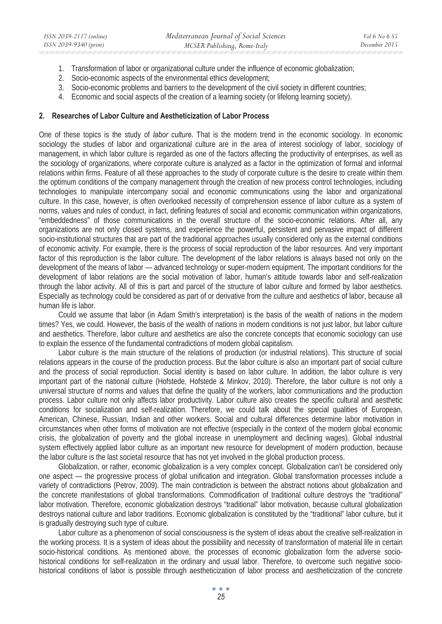- 1. Transformation of labor or organizational culture under the influence of economic globalization;
- 2. Socio-economic aspects of the environmental ethics development;
- 3. Socio-economic problems and barriers to the development of the civil society in different countries;
- 4. Economic and social aspects of the creation of a learning society (or lifelong learning society).

#### **2. Researches of Labor Culture and Aestheticization of Labor Process**

One of these topics is the study of *labor culture*. That is the modern trend in the economic sociology. In economic sociology the studies of labor and organizational culture are in the area of interest sociology of labor, sociology of management, in which labor culture is regarded as one of the factors affecting the productivity of enterprises, as well as the sociology of organizations, where corporate culture is analyzed as a factor in the optimization of formal and informal relations within firms. Feature of all these approaches to the study of corporate culture is the desire to create within them the optimum conditions of the company management through the creation of new process control technologies, including technologies to manipulate intercompany social and economic communications using the labor and organizational culture. In this case, however, is often overlooked necessity of comprehension essence of labor culture as a system of norms, values and rules of conduct, in fact, defining features of social and economic communication within organizations, "embeddedness" of those communications in the overall structure of the socio-economic relations. After all, any organizations are not only closed systems, and experience the powerful, persistent and pervasive impact of different socio-institutional structures that are part of the traditional approaches usually considered only as the external conditions of economic activity. For example, there is the process of social reproduction of the labor resources. And very important factor of this reproduction is the labor culture. The development of the labor relations is always based not only on the development of the means of labor — advanced technology or super-modern equipment. The important conditions for the development of labor relations are the social motivation of labor, human's attitude towards labor and self-realization through the labor activity. All of this is part and parcel of the structure of labor culture and formed by labor aesthetics. Especially as technology could be considered as part of or derivative from the culture and aesthetics of labor, because all human life is labor.

Could we assume that labor (in Adam Smith's interpretation) is the basis of the wealth of nations in the modern times? Yes, we could. However, the basis of the wealth of nations in modern conditions is not just labor, but labor culture and aesthetics. Therefore, labor culture and aesthetics are also the concrete concepts that economic sociology can use to explain the essence of the fundamental contradictions of modern global capitalism.

Labor culture is the main structure of the relations of production (or industrial relations). This structure of social relations appears in the course of the production process. But the labor culture is also an important part of social culture and the process of social reproduction. Social identity is based on labor culture. In addition, the labor culture is very important part of the national culture (Hofstede, Hofstede & Minkov, 2010). Therefore, the labor culture is not only a universal structure of norms and values that define the quality of the workers, labor communications and the production process. Labor culture not only affects labor productivity. Labor culture also creates the specific cultural and aesthetic conditions for socialization and self-realization. Therefore, we could talk about the special qualities of European, American, Chinese, Russian, Indian and other workers. Social and cultural differences determine labor motivation in circumstances when other forms of motivation are not effective (especially in the context of the modern global economic crisis, the globalization of poverty and the global increase in unemployment and declining wages). Global industrial system effectively applied labor culture as an important new resource for development of modern production, because the labor culture is the last societal resource that has not yet involved in the global production process.

Globalization, or rather, economic globalization is a very complex concept. Globalization can't be considered only one aspect — the progressive process of global unification and integration. Global transformation processes include a variety of contradictions (Petrov, 2009). The main contradiction is between the abstract notions about globalization and the concrete manifestations of global transformations. Commodification of traditional culture destroys the "traditional" labor motivation. Therefore, economic globalization destroys "traditional" labor motivation, because cultural globalization destroys national culture and labor traditions. Economic globalization is constituted by the "traditional" labor culture, but it is gradually destroying such type of culture.

Labor culture as a phenomenon of social consciousness is the system of ideas about the creative self-realization in the working process. It is a system of ideas about the possibility and necessity of transformation of material life in certain socio-historical conditions. As mentioned above, the processes of economic globalization form the adverse sociohistorical conditions for self-realization in the ordinary and usual labor. Therefore, to overcome such negative sociohistorical conditions of labor is possible through aestheticization of labor process and aestheticization of the concrete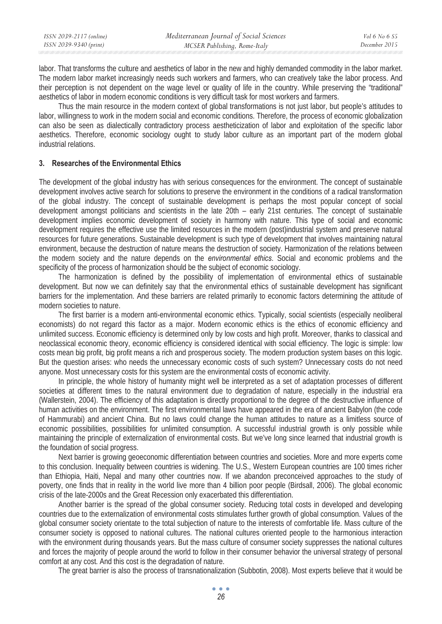labor. That transforms the culture and aesthetics of labor in the new and highly demanded commodity in the labor market. The modern labor market increasingly needs such workers and farmers, who can creatively take the labor process. And their perception is not dependent on the wage level or quality of life in the country. While preserving the "traditional" aesthetics of labor in modern economic conditions is very difficult task for most workers and farmers.

Thus the main resource in the modern context of global transformations is not just labor, but people's attitudes to labor, willingness to work in the modern social and economic conditions. Therefore, the process of economic globalization can also be seen as dialectically contradictory process aestheticization of labor and exploitation of the specific labor aesthetics. Therefore, economic sociology ought to study labor culture as an important part of the modern global industrial relations.

### **3. Researches of the Environmental Ethics**

The development of the global industry has with serious consequences for the environment. The concept of sustainable development involves active search for solutions to preserve the environment in the conditions of a radical transformation of the global industry. The concept of sustainable development is perhaps the most popular concept of social development amongst politicians and scientists in the late 20th – early 21st centuries. The concept of sustainable development implies economic development of society in harmony with nature. This type of social and economic development requires the effective use the limited resources in the modern (post)industrial system and preserve natural resources for future generations. Sustainable development is such type of development that involves maintaining natural environment, because the destruction of nature means the destruction of society. Harmonization of the relations between the modern society and the nature depends on the *environmental ethics*. Social and economic problems and the specificity of the process of harmonization should be the subject of economic sociology.

The harmonization is defined by the possibility of implementation of environmental ethics of sustainable development. But now we can definitely say that the environmental ethics of sustainable development has significant barriers for the implementation. And these barriers are related primarily to economic factors determining the attitude of modern societies to nature.

The first barrier is a modern anti-environmental economic ethics. Typically, social scientists (especially neoliberal economists) do not regard this factor as a major. Modern economic ethics is the ethics of economic efficiency and unlimited success. Economic efficiency is determined only by low costs and high profit. Moreover, thanks to classical and neoclassical economic theory, economic efficiency is considered identical with social efficiency. The logic is simple: low costs mean big profit, big profit means a rich and prosperous society. The modern production system bases on this logic. But the question arises: who needs the unnecessary economic costs of such system? Unnecessary costs do not need anyone. Most unnecessary costs for this system are the environmental costs of economic activity.

In principle, the whole history of humanity might well be interpreted as a set of adaptation processes of different societies at different times to the natural environment due to degradation of nature, especially in the industrial era (Wallerstein, 2004). The efficiency of this adaptation is directly proportional to the degree of the destructive influence of human activities on the environment. The first environmental laws have appeared in the era of ancient Babylon (the code of Hammurabi) and ancient China. But no laws could change the human attitudes to nature as a limitless source of economic possibilities, possibilities for unlimited consumption. A successful industrial growth is only possible while maintaining the principle of externalization of environmental costs. But we've long since learned that industrial growth is the foundation of social progress.

Next barrier is growing geoeconomic differentiation between countries and societies. More and more experts come to this conclusion. Inequality between countries is widening. The U.S., Western European countries are 100 times richer than Ethiopia, Haiti, Nepal and many other countries now. If we abandon preconceived approaches to the study of poverty, one finds that in reality in the world live more than 4 billion poor people (Birdsall, 2006). The global economic crisis of the late-2000s and the Great Recession only exacerbated this differentiation.

Another barrier is the spread of the global consumer society. Reducing total costs in developed and developing countries due to the externalization of environmental costs stimulates further growth of global consumption. Values of the global consumer society orientate to the total subjection of nature to the interests of comfortable life. Mass culture of the consumer society is opposed to national cultures. The national cultures oriented people to the harmonious interaction with the environment during thousands years. But the mass culture of consumer society suppresses the national cultures and forces the majority of people around the world to follow in their consumer behavior the universal strategy of personal comfort at any cost. And this cost is the degradation of nature.

The great barrier is also the process of transnationalization (Subbotin, 2008). Most experts believe that it would be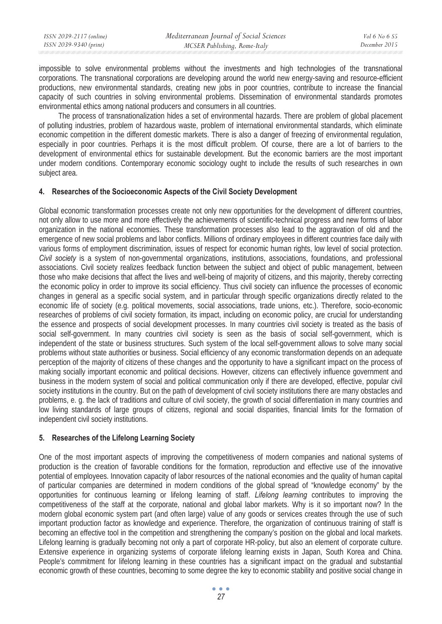| ISSN 2039-2117 (online) | Mediterranean Journal of Social Sciences | Vol 6 No 6 S5 |
|-------------------------|------------------------------------------|---------------|
| ISSN 2039-9340 (print)  | MCSER Publishing, Rome-Italy             | December 2015 |

impossible to solve environmental problems without the investments and high technologies of the transnational corporations. The transnational corporations are developing around the world new energy-saving and resource-efficient productions, new environmental standards, creating new jobs in poor countries, contribute to increase the financial capacity of such countries in solving environmental problems. Dissemination of environmental standards promotes environmental ethics among national producers and consumers in all countries.

The process of transnationalization hides a set of environmental hazards. There are problem of global placement of polluting industries, problem of hazardous waste, problem of international environmental standards, which eliminate economic competition in the different domestic markets. There is also a danger of freezing of environmental regulation, especially in poor countries. Perhaps it is the most difficult problem. Of course, there are a lot of barriers to the development of environmental ethics for sustainable development. But the economic barriers are the most important under modern conditions. Contemporary economic sociology ought to include the results of such researches in own subject area.

### **4. Researches of the Socioeconomic Aspects of the Civil Society Development**

Global economic transformation processes create not only new opportunities for the development of different countries, not only allow to use more and more effectively the achievements of scientific-technical progress and new forms of labor organization in the national economies. These transformation processes also lead to the aggravation of old and the emergence of new social problems and labor conflicts. Millions of ordinary employees in different countries face daily with various forms of employment discrimination, issues of respect for economic human rights, low level of social protection. *Civil society* is a system of non-governmental organizations, institutions, associations, foundations, and professional associations. Civil society realizes feedback function between the subject and object of public management, between those who make decisions that affect the lives and well-being of majority of citizens, and this majority, thereby correcting the economic policy in order to improve its social efficiency. Thus civil society can influence the processes of economic changes in general as a specific social system, and in particular through specific organizations directly related to the economic life of society (e.g. political movements, social associations, trade unions, etc.). Therefore, socio-economic researches of problems of civil society formation, its impact, including on economic policy, are crucial for understanding the essence and prospects of social development processes. In many countries civil society is treated as the basis of social self-government. In many countries civil society is seen as the basis of social self-government, which is independent of the state or business structures. Such system of the local self-government allows to solve many social problems without state authorities or business. Social efficiency of any economic transformation depends on an adequate perception of the majority of citizens of these changes and the opportunity to have a significant impact on the process of making socially important economic and political decisions. However, citizens can effectively influence government and business in the modern system of social and political communication only if there are developed, effective, popular civil society institutions in the country. But on the path of development of civil society institutions there are many obstacles and problems, e. g. the lack of traditions and culture of civil society, the growth of social differentiation in many countries and low living standards of large groups of citizens, regional and social disparities, financial limits for the formation of independent civil society institutions.

## **5. Researches of the Lifelong Learning Society**

One of the most important aspects of improving the competitiveness of modern companies and national systems of production is the creation of favorable conditions for the formation, reproduction and effective use of the innovative potential of employees. Innovation capacity of labor resources of the national economies and the quality of human capital of particular companies are determined in modern conditions of the global spread of "knowledge economy" by the opportunities for continuous learning or lifelong learning of staff. *Lifelong learning* contributes to improving the competitiveness of the staff at the corporate, national and global labor markets. Why is it so important now? In the modern global economic system part (and often large) value of any goods or services creates through the use of such important production factor as knowledge and experience. Therefore, the organization of continuous training of staff is becoming an effective tool in the competition and strengthening the company's position on the global and local markets. Lifelong learning is gradually becoming not only a part of corporate HR-policy, but also an element of corporate culture. Extensive experience in organizing systems of corporate lifelong learning exists in Japan, South Korea and China. People's commitment for lifelong learning in these countries has a significant impact on the gradual and substantial economic growth of these countries, becoming to some degree the key to economic stability and positive social change in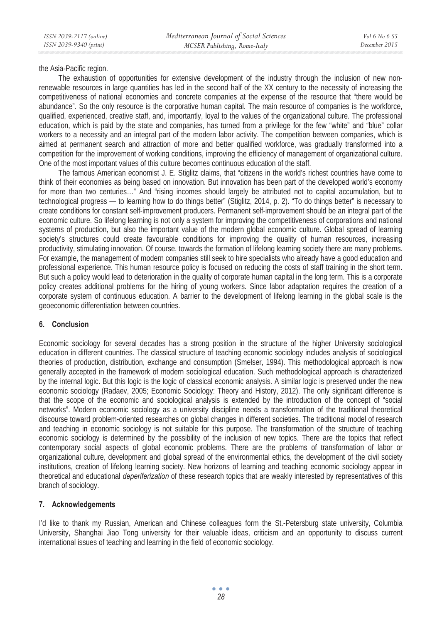the Asia-Pacific region.

The exhaustion of opportunities for extensive development of the industry through the inclusion of new nonrenewable resources in large quantities has led in the second half of the XX century to the necessity of increasing the competitiveness of national economies and concrete companies at the expense of the resource that "there would be abundance". So the only resource is the corporative human capital. The main resource of companies is the workforce, qualified, experienced, creative staff, and, importantly, loyal to the values of the organizational culture. The professional education, which is paid by the state and companies, has turned from a privilege for the few "white" and "blue" collar workers to a necessity and an integral part of the modern labor activity. The competition between companies, which is aimed at permanent search and attraction of more and better qualified workforce, was gradually transformed into a competition for the improvement of working conditions, improving the efficiency of management of organizational culture. One of the most important values of this culture becomes continuous education of the staff.

The famous American economist J. E. Stiglitz claims, that "citizens in the world's richest countries have come to think of their economies as being based on innovation. But innovation has been part of the developed world's economy for more than two centuries…" And "rising incomes should largely be attributed not to capital accumulation, but to technological progress — to learning how to do things better" (Stiglitz, 2014, p. 2). "To do things better" is necessary to create conditions for constant self-improvement producers. Permanent self-improvement should be an integral part of the economic culture. So lifelong learning is not only a system for improving the competitiveness of corporations and national systems of production, but also the important value of the modern global economic culture. Global spread of learning society's structures could create favourable conditions for improving the quality of human resources, increasing productivity, stimulating innovation. Of course, towards the formation of lifelong learning society there are many problems. For example, the management of modern companies still seek to hire specialists who already have a good education and professional experience. This human resource policy is focused on reducing the costs of staff training in the short term. But such a policy would lead to deterioration in the quality of corporate human capital in the long term. This is a corporate policy creates additional problems for the hiring of young workers. Since labor adaptation requires the creation of a corporate system of continuous education. A barrier to the development of lifelong learning in the global scale is the geoeconomic differentiation between countries.

## **6. Conclusion**

Economic sociology for several decades has a strong position in the structure of the higher University sociological education in different countries. The classical structure of teaching economic sociology includes analysis of sociological theories of production, distribution, exchange and consumption (Smelser, 1994). This methodological approach is now generally accepted in the framework of modern sociological education. Such methodological approach is characterized by the internal logic. But this logic is the logic of classical economic analysis. A similar logic is preserved under the new economic sociology (Radaev, 2005; Economic Sociology: Theory and History, 2012). The only significant difference is that the scope of the economic and sociological analysis is extended by the introduction of the concept of "social networks". Modern economic sociology as a university discipline needs a transformation of the traditional theoretical discourse toward problem-oriented researches on global changes in different societies. The traditional model of research and teaching in economic sociology is not suitable for this purpose. The transformation of the structure of teaching economic sociology is determined by the possibility of the inclusion of new topics. There are the topics that reflect contemporary social aspects of global economic problems. There are the problems of transformation of labor or organizational culture, development and global spread of the environmental ethics, the development of the civil society institutions, creation of lifelong learning society. New horizons of learning and teaching economic sociology appear in theoretical and educational *deperiferization* of these research topics that are weakly interested by representatives of this branch of sociology.

### **7. Acknowledgements**

I'd like to thank my Russian, American and Chinese colleagues form the St.-Petersburg state university, Columbia University, Shanghai Jiao Tong university for their valuable ideas, criticism and an opportunity to discuss current international issues of teaching and learning in the field of economic sociology.